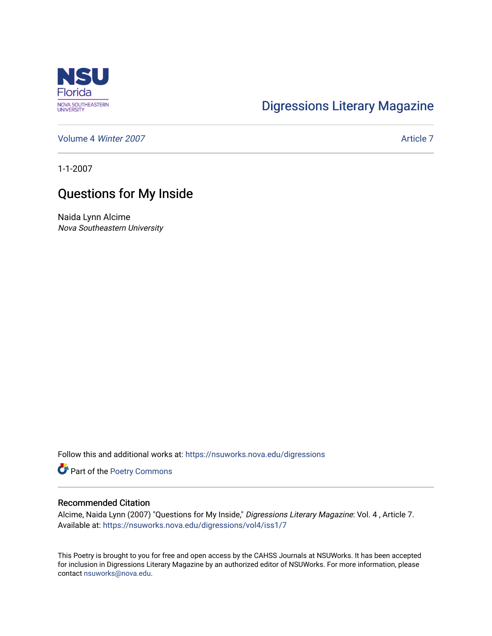

## [Digressions Literary Magazine](https://nsuworks.nova.edu/digressions)

[Volume 4](https://nsuworks.nova.edu/digressions/vol4) Winter 2007 [Article 7](https://nsuworks.nova.edu/digressions/vol4/iss1/7) Article 7

1-1-2007

## Questions for My Inside

Naida Lynn Alcime Nova Southeastern University

Follow this and additional works at: [https://nsuworks.nova.edu/digressions](https://nsuworks.nova.edu/digressions?utm_source=nsuworks.nova.edu%2Fdigressions%2Fvol4%2Fiss1%2F7&utm_medium=PDF&utm_campaign=PDFCoverPages) 

Part of the [Poetry Commons](http://network.bepress.com/hgg/discipline/1153?utm_source=nsuworks.nova.edu%2Fdigressions%2Fvol4%2Fiss1%2F7&utm_medium=PDF&utm_campaign=PDFCoverPages) 

## Recommended Citation

Alcime, Naida Lynn (2007) "Questions for My Inside," Digressions Literary Magazine: Vol. 4 , Article 7. Available at: [https://nsuworks.nova.edu/digressions/vol4/iss1/7](https://nsuworks.nova.edu/digressions/vol4/iss1/7?utm_source=nsuworks.nova.edu%2Fdigressions%2Fvol4%2Fiss1%2F7&utm_medium=PDF&utm_campaign=PDFCoverPages) 

This Poetry is brought to you for free and open access by the CAHSS Journals at NSUWorks. It has been accepted for inclusion in Digressions Literary Magazine by an authorized editor of NSUWorks. For more information, please contact [nsuworks@nova.edu.](mailto:nsuworks@nova.edu)